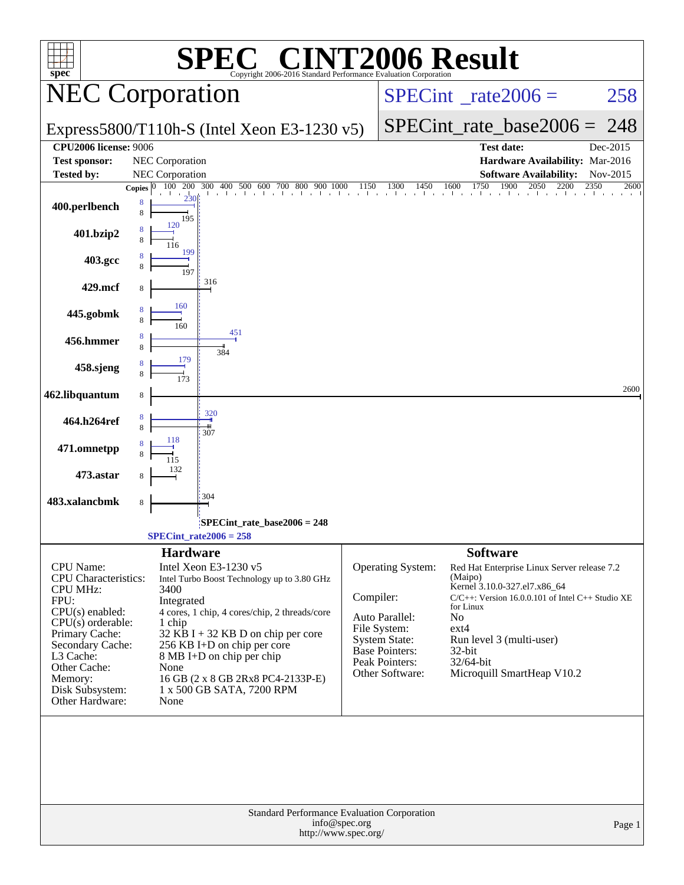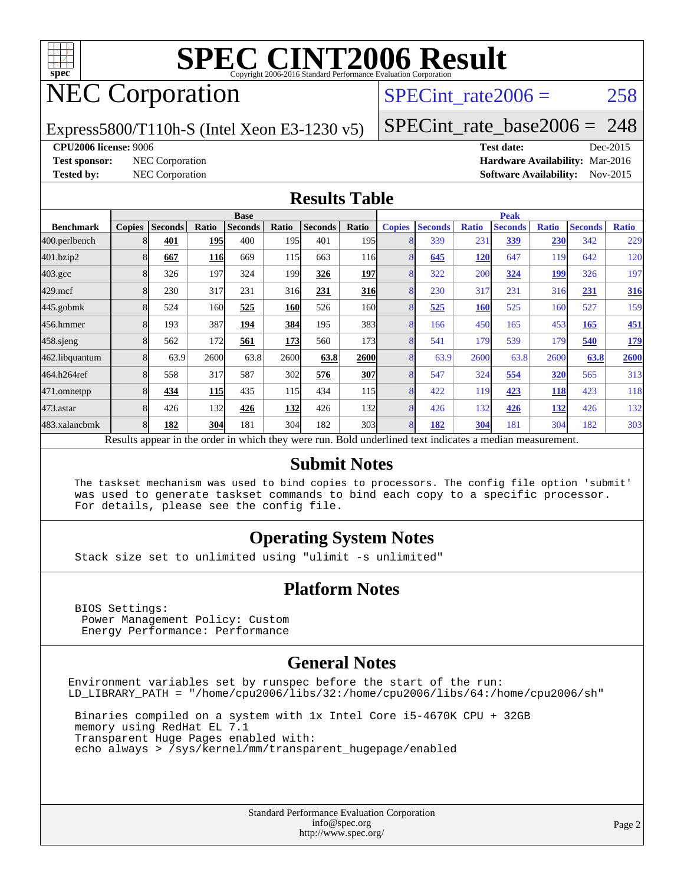

# NEC Corporation

SPECint rate $2006 = 258$ 

#### Express5800/T110h-S (Intel Xeon E3-1230 v5)

[SPECint\\_rate\\_base2006 =](http://www.spec.org/auto/cpu2006/Docs/result-fields.html#SPECintratebase2006) 248

**[CPU2006 license:](http://www.spec.org/auto/cpu2006/Docs/result-fields.html#CPU2006license)** 9006 **[Test date:](http://www.spec.org/auto/cpu2006/Docs/result-fields.html#Testdate)** Dec-2015 **[Test sponsor:](http://www.spec.org/auto/cpu2006/Docs/result-fields.html#Testsponsor)** NEC Corporation **[Hardware Availability:](http://www.spec.org/auto/cpu2006/Docs/result-fields.html#HardwareAvailability)** Mar-2016 **[Tested by:](http://www.spec.org/auto/cpu2006/Docs/result-fields.html#Testedby)** NEC Corporation **[Software Availability:](http://www.spec.org/auto/cpu2006/Docs/result-fields.html#SoftwareAvailability)** Nov-2015

#### **[Results Table](http://www.spec.org/auto/cpu2006/Docs/result-fields.html#ResultsTable)**

|                                                                                                          | <b>Base</b>   |                |            |         |            |                | <b>Peak</b>      |                |                |              |                |              |                |              |
|----------------------------------------------------------------------------------------------------------|---------------|----------------|------------|---------|------------|----------------|------------------|----------------|----------------|--------------|----------------|--------------|----------------|--------------|
| <b>Benchmark</b>                                                                                         | <b>Copies</b> | <b>Seconds</b> | Ratio      | Seconds | Ratio      | <b>Seconds</b> | Ratio            | <b>Copies</b>  | <b>Seconds</b> | <b>Ratio</b> | <b>Seconds</b> | <b>Ratio</b> | <b>Seconds</b> | <b>Ratio</b> |
| 400.perlbench                                                                                            |               | 401            | <b>195</b> | 400     | 195        | 401            | 195 <sub>l</sub> |                | 339            | 231          | 339            | 230          | 342            | 229          |
| 401.bzip2                                                                                                | 8             | 667            | <b>116</b> | 669     | 115        | 663            | <b>116</b>       |                | 645            | 120          | 647            | 119          | 642            | 120          |
| $403.\mathrm{gcc}$                                                                                       |               | 326            | 197        | 324     | 1991       | 326            | 197              |                | 322            | 200          | 324            | <u>199</u>   | 326            | 197          |
| $429$ .mcf                                                                                               | 8             | 230            | 317        | 231     | 316        | 231            | 316              | 8              | 230            | 317          | 231            | 316          | 231            | <b>316</b>   |
| $445$ .gobm $k$                                                                                          | 8             | 524            | 160        | 525     | <b>160</b> | 526            | 160l             | 8              | 525            | 160          | 525            | 160          | 527            | 159          |
| 456.hmmer                                                                                                |               | 193            | 387        | 194     | 384        | 195            | 383              | 8              | 166            | 450          | 165            | 453          | 165            | 451          |
| $458$ .sjeng                                                                                             |               | 562            | 172        | 561     | <b>173</b> | 560            | 173              |                | 541            | 179          | 539            | 179          | 540            | <u>179</u>   |
| 462.libquantum                                                                                           |               | 63.9           | 2600       | 63.8    | 2600       | 63.8           | 2600             | 8              | 63.9           | 2600         | 63.8           | 2600         | 63.8           | 2600         |
| 464.h264ref                                                                                              |               | 558            | 317        | 587     | 302        | 576            | 307              | $\overline{8}$ | 547            | 324          | 554            | <b>320</b>   | 565            | 313          |
| 471.omnetpp                                                                                              |               | 434            | <b>115</b> | 435     | 115        | 434            | 115              |                | 422            | 119          | 423            | <b>118</b>   | 423            | 118          |
| 473.astar                                                                                                |               | 426            | 132        | 426     | <b>132</b> | 426            | 132              | 8              | 426            | 132          | 426            | 132          | 426            | 132          |
| 483.xalancbmk                                                                                            | 8             | 182            | 304        | 181     | 304        | 182            | 303 <sup>I</sup> | 8              | 182            | 304          | 181            | 304          | 182            | 303          |
| Results appear in the order in which they were run. Bold underlined text indicates a median measurement. |               |                |            |         |            |                |                  |                |                |              |                |              |                |              |

#### **[Submit Notes](http://www.spec.org/auto/cpu2006/Docs/result-fields.html#SubmitNotes)**

 The taskset mechanism was used to bind copies to processors. The config file option 'submit' was used to generate taskset commands to bind each copy to a specific processor. For details, please see the config file.

#### **[Operating System Notes](http://www.spec.org/auto/cpu2006/Docs/result-fields.html#OperatingSystemNotes)**

Stack size set to unlimited using "ulimit -s unlimited"

#### **[Platform Notes](http://www.spec.org/auto/cpu2006/Docs/result-fields.html#PlatformNotes)**

 BIOS Settings: Power Management Policy: Custom Energy Performance: Performance

#### **[General Notes](http://www.spec.org/auto/cpu2006/Docs/result-fields.html#GeneralNotes)**

Environment variables set by runspec before the start of the run: LD\_LIBRARY\_PATH = "/home/cpu2006/libs/32:/home/cpu2006/libs/64:/home/cpu2006/sh"

 Binaries compiled on a system with 1x Intel Core i5-4670K CPU + 32GB memory using RedHat EL 7.1 Transparent Huge Pages enabled with: echo always > /sys/kernel/mm/transparent\_hugepage/enabled

> Standard Performance Evaluation Corporation [info@spec.org](mailto:info@spec.org) <http://www.spec.org/>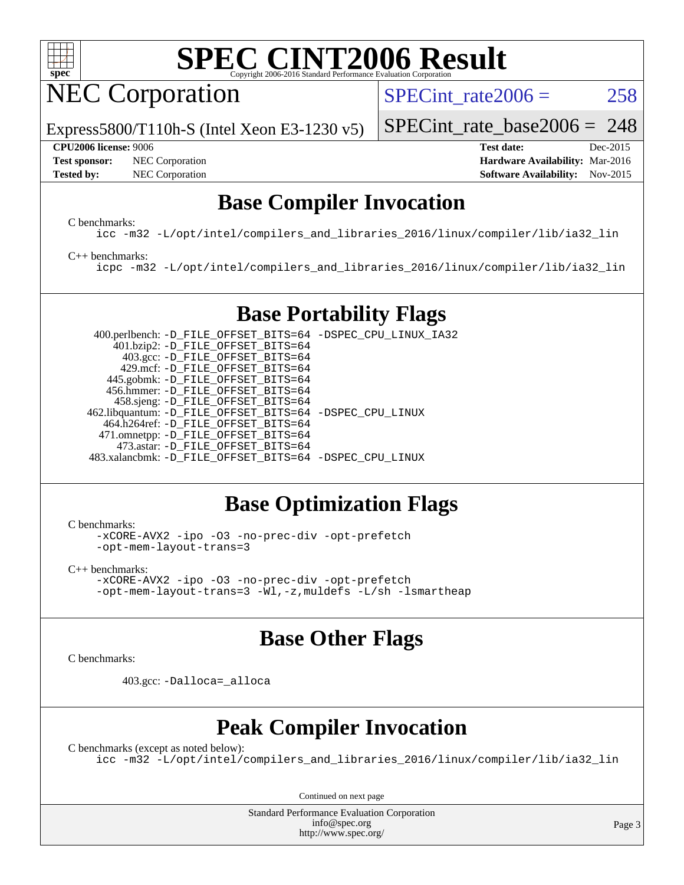

NEC Corporation

Express5800/T110h-S (Intel Xeon E3-1230 v5)

SPECint rate $2006 = 258$ 

[SPECint\\_rate\\_base2006 =](http://www.spec.org/auto/cpu2006/Docs/result-fields.html#SPECintratebase2006) 248

#### **[CPU2006 license:](http://www.spec.org/auto/cpu2006/Docs/result-fields.html#CPU2006license)** 9006 **[Test date:](http://www.spec.org/auto/cpu2006/Docs/result-fields.html#Testdate)** Dec-2015

**[Test sponsor:](http://www.spec.org/auto/cpu2006/Docs/result-fields.html#Testsponsor)** NEC Corporation **NEC Corporation [Hardware Availability:](http://www.spec.org/auto/cpu2006/Docs/result-fields.html#HardwareAvailability)** Mar-2016

**[Tested by:](http://www.spec.org/auto/cpu2006/Docs/result-fields.html#Testedby)** NEC Corporation **[Software Availability:](http://www.spec.org/auto/cpu2006/Docs/result-fields.html#SoftwareAvailability)** Nov-2015

## **[Base Compiler Invocation](http://www.spec.org/auto/cpu2006/Docs/result-fields.html#BaseCompilerInvocation)**

[C benchmarks](http://www.spec.org/auto/cpu2006/Docs/result-fields.html#Cbenchmarks):

[icc -m32 -L/opt/intel/compilers\\_and\\_libraries\\_2016/linux/compiler/lib/ia32\\_lin](http://www.spec.org/cpu2006/results/res2016q1/cpu2006-20160125-38925.flags.html#user_CCbase_intel_icc_e10256ba5924b668798078a321b0cb3f)

#### [C++ benchmarks:](http://www.spec.org/auto/cpu2006/Docs/result-fields.html#CXXbenchmarks)

[icpc -m32 -L/opt/intel/compilers\\_and\\_libraries\\_2016/linux/compiler/lib/ia32\\_lin](http://www.spec.org/cpu2006/results/res2016q1/cpu2006-20160125-38925.flags.html#user_CXXbase_intel_icpc_b4f50a394bdb4597aa5879c16bc3f5c5)

## **[Base Portability Flags](http://www.spec.org/auto/cpu2006/Docs/result-fields.html#BasePortabilityFlags)**

 400.perlbench: [-D\\_FILE\\_OFFSET\\_BITS=64](http://www.spec.org/cpu2006/results/res2016q1/cpu2006-20160125-38925.flags.html#user_basePORTABILITY400_perlbench_file_offset_bits_64_438cf9856305ebd76870a2c6dc2689ab) [-DSPEC\\_CPU\\_LINUX\\_IA32](http://www.spec.org/cpu2006/results/res2016q1/cpu2006-20160125-38925.flags.html#b400.perlbench_baseCPORTABILITY_DSPEC_CPU_LINUX_IA32) 401.bzip2: [-D\\_FILE\\_OFFSET\\_BITS=64](http://www.spec.org/cpu2006/results/res2016q1/cpu2006-20160125-38925.flags.html#user_basePORTABILITY401_bzip2_file_offset_bits_64_438cf9856305ebd76870a2c6dc2689ab) 403.gcc: [-D\\_FILE\\_OFFSET\\_BITS=64](http://www.spec.org/cpu2006/results/res2016q1/cpu2006-20160125-38925.flags.html#user_basePORTABILITY403_gcc_file_offset_bits_64_438cf9856305ebd76870a2c6dc2689ab) 429.mcf: [-D\\_FILE\\_OFFSET\\_BITS=64](http://www.spec.org/cpu2006/results/res2016q1/cpu2006-20160125-38925.flags.html#user_basePORTABILITY429_mcf_file_offset_bits_64_438cf9856305ebd76870a2c6dc2689ab) 445.gobmk: [-D\\_FILE\\_OFFSET\\_BITS=64](http://www.spec.org/cpu2006/results/res2016q1/cpu2006-20160125-38925.flags.html#user_basePORTABILITY445_gobmk_file_offset_bits_64_438cf9856305ebd76870a2c6dc2689ab) 456.hmmer: [-D\\_FILE\\_OFFSET\\_BITS=64](http://www.spec.org/cpu2006/results/res2016q1/cpu2006-20160125-38925.flags.html#user_basePORTABILITY456_hmmer_file_offset_bits_64_438cf9856305ebd76870a2c6dc2689ab) 458.sjeng: [-D\\_FILE\\_OFFSET\\_BITS=64](http://www.spec.org/cpu2006/results/res2016q1/cpu2006-20160125-38925.flags.html#user_basePORTABILITY458_sjeng_file_offset_bits_64_438cf9856305ebd76870a2c6dc2689ab) 462.libquantum: [-D\\_FILE\\_OFFSET\\_BITS=64](http://www.spec.org/cpu2006/results/res2016q1/cpu2006-20160125-38925.flags.html#user_basePORTABILITY462_libquantum_file_offset_bits_64_438cf9856305ebd76870a2c6dc2689ab) [-DSPEC\\_CPU\\_LINUX](http://www.spec.org/cpu2006/results/res2016q1/cpu2006-20160125-38925.flags.html#b462.libquantum_baseCPORTABILITY_DSPEC_CPU_LINUX) 464.h264ref: [-D\\_FILE\\_OFFSET\\_BITS=64](http://www.spec.org/cpu2006/results/res2016q1/cpu2006-20160125-38925.flags.html#user_basePORTABILITY464_h264ref_file_offset_bits_64_438cf9856305ebd76870a2c6dc2689ab) 471.omnetpp: [-D\\_FILE\\_OFFSET\\_BITS=64](http://www.spec.org/cpu2006/results/res2016q1/cpu2006-20160125-38925.flags.html#user_basePORTABILITY471_omnetpp_file_offset_bits_64_438cf9856305ebd76870a2c6dc2689ab) 473.astar: [-D\\_FILE\\_OFFSET\\_BITS=64](http://www.spec.org/cpu2006/results/res2016q1/cpu2006-20160125-38925.flags.html#user_basePORTABILITY473_astar_file_offset_bits_64_438cf9856305ebd76870a2c6dc2689ab) 483.xalancbmk: [-D\\_FILE\\_OFFSET\\_BITS=64](http://www.spec.org/cpu2006/results/res2016q1/cpu2006-20160125-38925.flags.html#user_basePORTABILITY483_xalancbmk_file_offset_bits_64_438cf9856305ebd76870a2c6dc2689ab) [-DSPEC\\_CPU\\_LINUX](http://www.spec.org/cpu2006/results/res2016q1/cpu2006-20160125-38925.flags.html#b483.xalancbmk_baseCXXPORTABILITY_DSPEC_CPU_LINUX)

## **[Base Optimization Flags](http://www.spec.org/auto/cpu2006/Docs/result-fields.html#BaseOptimizationFlags)**

[C benchmarks](http://www.spec.org/auto/cpu2006/Docs/result-fields.html#Cbenchmarks):

[-xCORE-AVX2](http://www.spec.org/cpu2006/results/res2016q1/cpu2006-20160125-38925.flags.html#user_CCbase_f-xAVX2_5f5fc0cbe2c9f62c816d3e45806c70d7) [-ipo](http://www.spec.org/cpu2006/results/res2016q1/cpu2006-20160125-38925.flags.html#user_CCbase_f-ipo) [-O3](http://www.spec.org/cpu2006/results/res2016q1/cpu2006-20160125-38925.flags.html#user_CCbase_f-O3) [-no-prec-div](http://www.spec.org/cpu2006/results/res2016q1/cpu2006-20160125-38925.flags.html#user_CCbase_f-no-prec-div) [-opt-prefetch](http://www.spec.org/cpu2006/results/res2016q1/cpu2006-20160125-38925.flags.html#user_CCbase_f-opt-prefetch) [-opt-mem-layout-trans=3](http://www.spec.org/cpu2006/results/res2016q1/cpu2006-20160125-38925.flags.html#user_CCbase_f-opt-mem-layout-trans_a7b82ad4bd7abf52556d4961a2ae94d5)

[C++ benchmarks:](http://www.spec.org/auto/cpu2006/Docs/result-fields.html#CXXbenchmarks) [-xCORE-AVX2](http://www.spec.org/cpu2006/results/res2016q1/cpu2006-20160125-38925.flags.html#user_CXXbase_f-xAVX2_5f5fc0cbe2c9f62c816d3e45806c70d7) [-ipo](http://www.spec.org/cpu2006/results/res2016q1/cpu2006-20160125-38925.flags.html#user_CXXbase_f-ipo) [-O3](http://www.spec.org/cpu2006/results/res2016q1/cpu2006-20160125-38925.flags.html#user_CXXbase_f-O3) [-no-prec-div](http://www.spec.org/cpu2006/results/res2016q1/cpu2006-20160125-38925.flags.html#user_CXXbase_f-no-prec-div) [-opt-prefetch](http://www.spec.org/cpu2006/results/res2016q1/cpu2006-20160125-38925.flags.html#user_CXXbase_f-opt-prefetch) [-opt-mem-layout-trans=3](http://www.spec.org/cpu2006/results/res2016q1/cpu2006-20160125-38925.flags.html#user_CXXbase_f-opt-mem-layout-trans_a7b82ad4bd7abf52556d4961a2ae94d5) [-Wl,-z,muldefs](http://www.spec.org/cpu2006/results/res2016q1/cpu2006-20160125-38925.flags.html#user_CXXbase_link_force_multiple1_74079c344b956b9658436fd1b6dd3a8a) [-L/sh -lsmartheap](http://www.spec.org/cpu2006/results/res2016q1/cpu2006-20160125-38925.flags.html#user_CXXbase_SmartHeap_32f6c82aa1ed9c52345d30cf6e4a0499)

## **[Base Other Flags](http://www.spec.org/auto/cpu2006/Docs/result-fields.html#BaseOtherFlags)**

[C benchmarks](http://www.spec.org/auto/cpu2006/Docs/result-fields.html#Cbenchmarks):

403.gcc: [-Dalloca=\\_alloca](http://www.spec.org/cpu2006/results/res2016q1/cpu2006-20160125-38925.flags.html#b403.gcc_baseEXTRA_CFLAGS_Dalloca_be3056838c12de2578596ca5467af7f3)

## **[Peak Compiler Invocation](http://www.spec.org/auto/cpu2006/Docs/result-fields.html#PeakCompilerInvocation)**

[C benchmarks \(except as noted below\)](http://www.spec.org/auto/cpu2006/Docs/result-fields.html#Cbenchmarksexceptasnotedbelow): [icc -m32 -L/opt/intel/compilers\\_and\\_libraries\\_2016/linux/compiler/lib/ia32\\_lin](http://www.spec.org/cpu2006/results/res2016q1/cpu2006-20160125-38925.flags.html#user_CCpeak_intel_icc_e10256ba5924b668798078a321b0cb3f)

Continued on next page

Standard Performance Evaluation Corporation [info@spec.org](mailto:info@spec.org) <http://www.spec.org/>

Page 3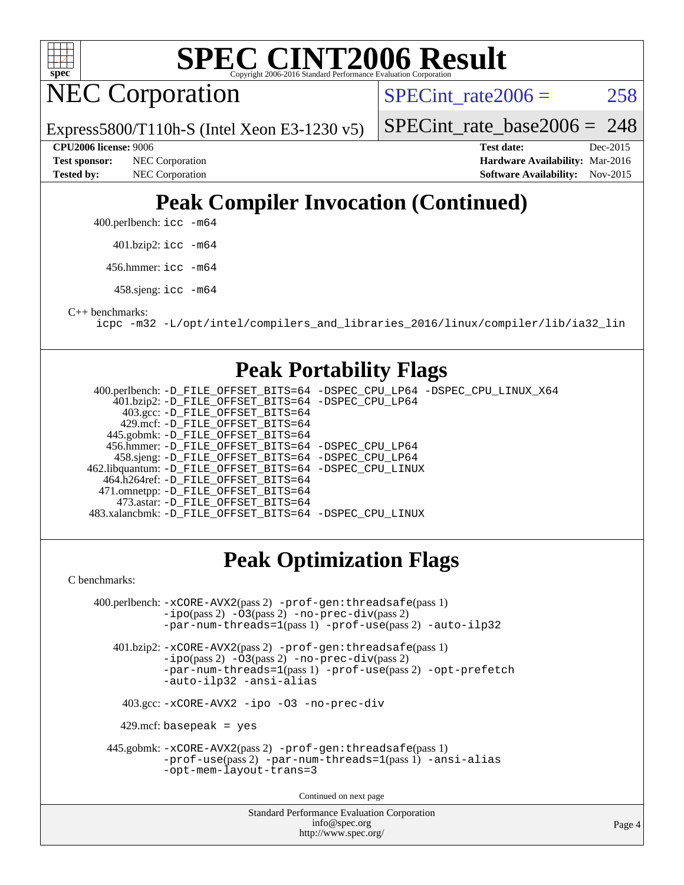

NEC Corporation

SPECint rate $2006 = 258$ 

Express5800/T110h-S (Intel Xeon E3-1230 v5)

[SPECint\\_rate\\_base2006 =](http://www.spec.org/auto/cpu2006/Docs/result-fields.html#SPECintratebase2006) 248

**[Tested by:](http://www.spec.org/auto/cpu2006/Docs/result-fields.html#Testedby)** NEC Corporation **[Software Availability:](http://www.spec.org/auto/cpu2006/Docs/result-fields.html#SoftwareAvailability)** Nov-2015

**[CPU2006 license:](http://www.spec.org/auto/cpu2006/Docs/result-fields.html#CPU2006license)** 9006 **[Test date:](http://www.spec.org/auto/cpu2006/Docs/result-fields.html#Testdate)** Dec-2015 **[Test sponsor:](http://www.spec.org/auto/cpu2006/Docs/result-fields.html#Testsponsor)** NEC Corporation **NEC Corporation [Hardware Availability:](http://www.spec.org/auto/cpu2006/Docs/result-fields.html#HardwareAvailability)** Mar-2016

# **[Peak Compiler Invocation \(Continued\)](http://www.spec.org/auto/cpu2006/Docs/result-fields.html#PeakCompilerInvocation)**

400.perlbench: [icc -m64](http://www.spec.org/cpu2006/results/res2016q1/cpu2006-20160125-38925.flags.html#user_peakCCLD400_perlbench_intel_icc_64bit_bda6cc9af1fdbb0edc3795bac97ada53)

401.bzip2: [icc -m64](http://www.spec.org/cpu2006/results/res2016q1/cpu2006-20160125-38925.flags.html#user_peakCCLD401_bzip2_intel_icc_64bit_bda6cc9af1fdbb0edc3795bac97ada53)

456.hmmer: [icc -m64](http://www.spec.org/cpu2006/results/res2016q1/cpu2006-20160125-38925.flags.html#user_peakCCLD456_hmmer_intel_icc_64bit_bda6cc9af1fdbb0edc3795bac97ada53)

458.sjeng: [icc -m64](http://www.spec.org/cpu2006/results/res2016q1/cpu2006-20160125-38925.flags.html#user_peakCCLD458_sjeng_intel_icc_64bit_bda6cc9af1fdbb0edc3795bac97ada53)

[C++ benchmarks:](http://www.spec.org/auto/cpu2006/Docs/result-fields.html#CXXbenchmarks)

[icpc -m32 -L/opt/intel/compilers\\_and\\_libraries\\_2016/linux/compiler/lib/ia32\\_lin](http://www.spec.org/cpu2006/results/res2016q1/cpu2006-20160125-38925.flags.html#user_CXXpeak_intel_icpc_b4f50a394bdb4597aa5879c16bc3f5c5)

## **[Peak Portability Flags](http://www.spec.org/auto/cpu2006/Docs/result-fields.html#PeakPortabilityFlags)**

 400.perlbench: [-D\\_FILE\\_OFFSET\\_BITS=64](http://www.spec.org/cpu2006/results/res2016q1/cpu2006-20160125-38925.flags.html#user_peakPORTABILITY400_perlbench_file_offset_bits_64_438cf9856305ebd76870a2c6dc2689ab) [-DSPEC\\_CPU\\_LP64](http://www.spec.org/cpu2006/results/res2016q1/cpu2006-20160125-38925.flags.html#b400.perlbench_peakCPORTABILITY_DSPEC_CPU_LP64) [-DSPEC\\_CPU\\_LINUX\\_X64](http://www.spec.org/cpu2006/results/res2016q1/cpu2006-20160125-38925.flags.html#b400.perlbench_peakCPORTABILITY_DSPEC_CPU_LINUX_X64) 401.bzip2: [-D\\_FILE\\_OFFSET\\_BITS=64](http://www.spec.org/cpu2006/results/res2016q1/cpu2006-20160125-38925.flags.html#user_peakPORTABILITY401_bzip2_file_offset_bits_64_438cf9856305ebd76870a2c6dc2689ab) [-DSPEC\\_CPU\\_LP64](http://www.spec.org/cpu2006/results/res2016q1/cpu2006-20160125-38925.flags.html#suite_peakCPORTABILITY401_bzip2_DSPEC_CPU_LP64) 403.gcc: [-D\\_FILE\\_OFFSET\\_BITS=64](http://www.spec.org/cpu2006/results/res2016q1/cpu2006-20160125-38925.flags.html#user_peakPORTABILITY403_gcc_file_offset_bits_64_438cf9856305ebd76870a2c6dc2689ab) 429.mcf: [-D\\_FILE\\_OFFSET\\_BITS=64](http://www.spec.org/cpu2006/results/res2016q1/cpu2006-20160125-38925.flags.html#user_peakPORTABILITY429_mcf_file_offset_bits_64_438cf9856305ebd76870a2c6dc2689ab) 445.gobmk: [-D\\_FILE\\_OFFSET\\_BITS=64](http://www.spec.org/cpu2006/results/res2016q1/cpu2006-20160125-38925.flags.html#user_peakPORTABILITY445_gobmk_file_offset_bits_64_438cf9856305ebd76870a2c6dc2689ab) 456.hmmer: [-D\\_FILE\\_OFFSET\\_BITS=64](http://www.spec.org/cpu2006/results/res2016q1/cpu2006-20160125-38925.flags.html#user_peakPORTABILITY456_hmmer_file_offset_bits_64_438cf9856305ebd76870a2c6dc2689ab) [-DSPEC\\_CPU\\_LP64](http://www.spec.org/cpu2006/results/res2016q1/cpu2006-20160125-38925.flags.html#suite_peakCPORTABILITY456_hmmer_DSPEC_CPU_LP64) 458.sjeng: [-D\\_FILE\\_OFFSET\\_BITS=64](http://www.spec.org/cpu2006/results/res2016q1/cpu2006-20160125-38925.flags.html#user_peakPORTABILITY458_sjeng_file_offset_bits_64_438cf9856305ebd76870a2c6dc2689ab) [-DSPEC\\_CPU\\_LP64](http://www.spec.org/cpu2006/results/res2016q1/cpu2006-20160125-38925.flags.html#suite_peakCPORTABILITY458_sjeng_DSPEC_CPU_LP64) 462.libquantum: [-D\\_FILE\\_OFFSET\\_BITS=64](http://www.spec.org/cpu2006/results/res2016q1/cpu2006-20160125-38925.flags.html#user_peakPORTABILITY462_libquantum_file_offset_bits_64_438cf9856305ebd76870a2c6dc2689ab) [-DSPEC\\_CPU\\_LINUX](http://www.spec.org/cpu2006/results/res2016q1/cpu2006-20160125-38925.flags.html#b462.libquantum_peakCPORTABILITY_DSPEC_CPU_LINUX) 464.h264ref: [-D\\_FILE\\_OFFSET\\_BITS=64](http://www.spec.org/cpu2006/results/res2016q1/cpu2006-20160125-38925.flags.html#user_peakPORTABILITY464_h264ref_file_offset_bits_64_438cf9856305ebd76870a2c6dc2689ab) 471.omnetpp: [-D\\_FILE\\_OFFSET\\_BITS=64](http://www.spec.org/cpu2006/results/res2016q1/cpu2006-20160125-38925.flags.html#user_peakPORTABILITY471_omnetpp_file_offset_bits_64_438cf9856305ebd76870a2c6dc2689ab) 473.astar: [-D\\_FILE\\_OFFSET\\_BITS=64](http://www.spec.org/cpu2006/results/res2016q1/cpu2006-20160125-38925.flags.html#user_peakPORTABILITY473_astar_file_offset_bits_64_438cf9856305ebd76870a2c6dc2689ab) 483.xalancbmk: [-D\\_FILE\\_OFFSET\\_BITS=64](http://www.spec.org/cpu2006/results/res2016q1/cpu2006-20160125-38925.flags.html#user_peakPORTABILITY483_xalancbmk_file_offset_bits_64_438cf9856305ebd76870a2c6dc2689ab) [-DSPEC\\_CPU\\_LINUX](http://www.spec.org/cpu2006/results/res2016q1/cpu2006-20160125-38925.flags.html#b483.xalancbmk_peakCXXPORTABILITY_DSPEC_CPU_LINUX)

## **[Peak Optimization Flags](http://www.spec.org/auto/cpu2006/Docs/result-fields.html#PeakOptimizationFlags)**

[C benchmarks](http://www.spec.org/auto/cpu2006/Docs/result-fields.html#Cbenchmarks):

Standard Performance Evaluation Corporation 400.perlbench: [-xCORE-AVX2](http://www.spec.org/cpu2006/results/res2016q1/cpu2006-20160125-38925.flags.html#user_peakPASS2_CFLAGSPASS2_LDCFLAGS400_perlbench_f-xAVX2_5f5fc0cbe2c9f62c816d3e45806c70d7)(pass 2) [-prof-gen:threadsafe](http://www.spec.org/cpu2006/results/res2016q1/cpu2006-20160125-38925.flags.html#user_peakPASS1_CFLAGSPASS1_LDCFLAGS400_perlbench_prof_gen_21a26eb79f378b550acd7bec9fe4467a)(pass 1) [-ipo](http://www.spec.org/cpu2006/results/res2016q1/cpu2006-20160125-38925.flags.html#user_peakPASS2_CFLAGSPASS2_LDCFLAGS400_perlbench_f-ipo)(pass 2) [-O3](http://www.spec.org/cpu2006/results/res2016q1/cpu2006-20160125-38925.flags.html#user_peakPASS2_CFLAGSPASS2_LDCFLAGS400_perlbench_f-O3)(pass 2) [-no-prec-div](http://www.spec.org/cpu2006/results/res2016q1/cpu2006-20160125-38925.flags.html#user_peakPASS2_CFLAGSPASS2_LDCFLAGS400_perlbench_f-no-prec-div)(pass 2) [-par-num-threads=1](http://www.spec.org/cpu2006/results/res2016q1/cpu2006-20160125-38925.flags.html#user_peakPASS1_CFLAGSPASS1_LDCFLAGS400_perlbench_par_num_threads_786a6ff141b4e9e90432e998842df6c2)(pass 1) [-prof-use](http://www.spec.org/cpu2006/results/res2016q1/cpu2006-20160125-38925.flags.html#user_peakPASS2_CFLAGSPASS2_LDCFLAGS400_perlbench_prof_use_bccf7792157ff70d64e32fe3e1250b55)(pass 2) [-auto-ilp32](http://www.spec.org/cpu2006/results/res2016q1/cpu2006-20160125-38925.flags.html#user_peakCOPTIMIZE400_perlbench_f-auto-ilp32) 401.bzip2: [-xCORE-AVX2](http://www.spec.org/cpu2006/results/res2016q1/cpu2006-20160125-38925.flags.html#user_peakPASS2_CFLAGSPASS2_LDCFLAGS401_bzip2_f-xAVX2_5f5fc0cbe2c9f62c816d3e45806c70d7)(pass 2) [-prof-gen:threadsafe](http://www.spec.org/cpu2006/results/res2016q1/cpu2006-20160125-38925.flags.html#user_peakPASS1_CFLAGSPASS1_LDCFLAGS401_bzip2_prof_gen_21a26eb79f378b550acd7bec9fe4467a)(pass 1) [-ipo](http://www.spec.org/cpu2006/results/res2016q1/cpu2006-20160125-38925.flags.html#user_peakPASS2_CFLAGSPASS2_LDCFLAGS401_bzip2_f-ipo)(pass 2) [-O3](http://www.spec.org/cpu2006/results/res2016q1/cpu2006-20160125-38925.flags.html#user_peakPASS2_CFLAGSPASS2_LDCFLAGS401_bzip2_f-O3)(pass 2) [-no-prec-div](http://www.spec.org/cpu2006/results/res2016q1/cpu2006-20160125-38925.flags.html#user_peakPASS2_CFLAGSPASS2_LDCFLAGS401_bzip2_f-no-prec-div)(pass 2) [-par-num-threads=1](http://www.spec.org/cpu2006/results/res2016q1/cpu2006-20160125-38925.flags.html#user_peakPASS1_CFLAGSPASS1_LDCFLAGS401_bzip2_par_num_threads_786a6ff141b4e9e90432e998842df6c2)(pass 1) [-prof-use](http://www.spec.org/cpu2006/results/res2016q1/cpu2006-20160125-38925.flags.html#user_peakPASS2_CFLAGSPASS2_LDCFLAGS401_bzip2_prof_use_bccf7792157ff70d64e32fe3e1250b55)(pass 2) [-opt-prefetch](http://www.spec.org/cpu2006/results/res2016q1/cpu2006-20160125-38925.flags.html#user_peakCOPTIMIZE401_bzip2_f-opt-prefetch) [-auto-ilp32](http://www.spec.org/cpu2006/results/res2016q1/cpu2006-20160125-38925.flags.html#user_peakCOPTIMIZE401_bzip2_f-auto-ilp32) [-ansi-alias](http://www.spec.org/cpu2006/results/res2016q1/cpu2006-20160125-38925.flags.html#user_peakCOPTIMIZE401_bzip2_f-ansi-alias) 403.gcc: [-xCORE-AVX2](http://www.spec.org/cpu2006/results/res2016q1/cpu2006-20160125-38925.flags.html#user_peakCOPTIMIZE403_gcc_f-xAVX2_5f5fc0cbe2c9f62c816d3e45806c70d7) [-ipo](http://www.spec.org/cpu2006/results/res2016q1/cpu2006-20160125-38925.flags.html#user_peakCOPTIMIZE403_gcc_f-ipo) [-O3](http://www.spec.org/cpu2006/results/res2016q1/cpu2006-20160125-38925.flags.html#user_peakCOPTIMIZE403_gcc_f-O3) [-no-prec-div](http://www.spec.org/cpu2006/results/res2016q1/cpu2006-20160125-38925.flags.html#user_peakCOPTIMIZE403_gcc_f-no-prec-div)  $429$ .mcf: basepeak = yes 445.gobmk: [-xCORE-AVX2](http://www.spec.org/cpu2006/results/res2016q1/cpu2006-20160125-38925.flags.html#user_peakPASS2_CFLAGSPASS2_LDCFLAGS445_gobmk_f-xAVX2_5f5fc0cbe2c9f62c816d3e45806c70d7)(pass 2) [-prof-gen:threadsafe](http://www.spec.org/cpu2006/results/res2016q1/cpu2006-20160125-38925.flags.html#user_peakPASS1_CFLAGSPASS1_LDCFLAGS445_gobmk_prof_gen_21a26eb79f378b550acd7bec9fe4467a)(pass 1) [-prof-use](http://www.spec.org/cpu2006/results/res2016q1/cpu2006-20160125-38925.flags.html#user_peakPASS2_CFLAGSPASS2_LDCFLAGS445_gobmk_prof_use_bccf7792157ff70d64e32fe3e1250b55)(pass 2) [-par-num-threads=1](http://www.spec.org/cpu2006/results/res2016q1/cpu2006-20160125-38925.flags.html#user_peakPASS1_CFLAGSPASS1_LDCFLAGS445_gobmk_par_num_threads_786a6ff141b4e9e90432e998842df6c2)(pass 1) [-ansi-alias](http://www.spec.org/cpu2006/results/res2016q1/cpu2006-20160125-38925.flags.html#user_peakCOPTIMIZE445_gobmk_f-ansi-alias) [-opt-mem-layout-trans=3](http://www.spec.org/cpu2006/results/res2016q1/cpu2006-20160125-38925.flags.html#user_peakCOPTIMIZE445_gobmk_f-opt-mem-layout-trans_a7b82ad4bd7abf52556d4961a2ae94d5) Continued on next page

[info@spec.org](mailto:info@spec.org) <http://www.spec.org/>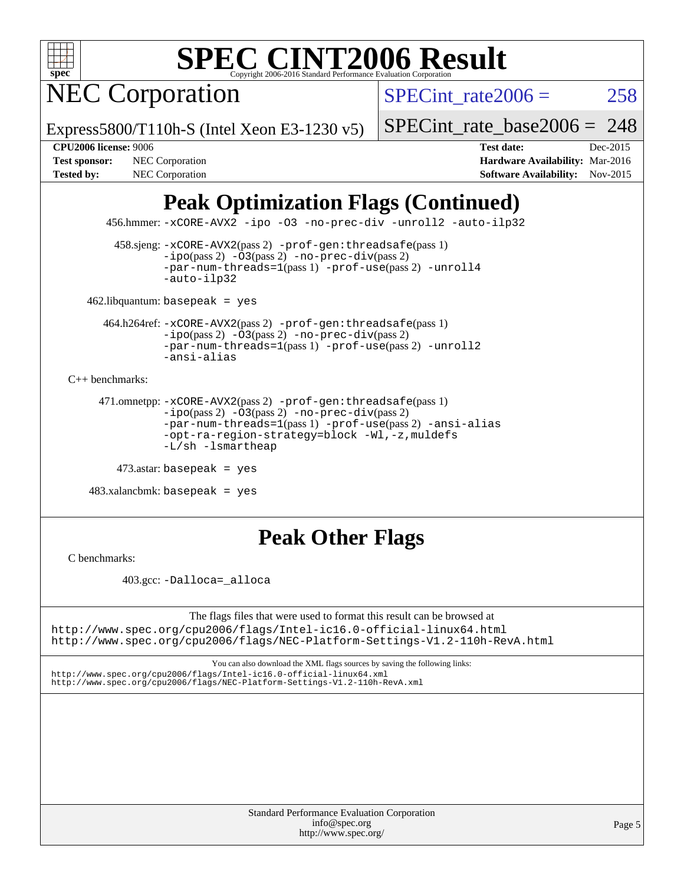

NEC Corporation

SPECint rate $2006 = 258$ 

Express5800/T110h-S (Intel Xeon E3-1230 v5)

[SPECint\\_rate\\_base2006 =](http://www.spec.org/auto/cpu2006/Docs/result-fields.html#SPECintratebase2006) 248

**[Test sponsor:](http://www.spec.org/auto/cpu2006/Docs/result-fields.html#Testsponsor)** NEC Corporation **NEC Corporation [Hardware Availability:](http://www.spec.org/auto/cpu2006/Docs/result-fields.html#HardwareAvailability)** Mar-2016

**[CPU2006 license:](http://www.spec.org/auto/cpu2006/Docs/result-fields.html#CPU2006license)** 9006 **[Test date:](http://www.spec.org/auto/cpu2006/Docs/result-fields.html#Testdate)** Dec-2015 [Tested by:](http://www.spec.org/auto/cpu2006/Docs/result-fields.html#Testedby) NEC Corporation **[Software Availability:](http://www.spec.org/auto/cpu2006/Docs/result-fields.html#SoftwareAvailability)** Nov-2015

# **[Peak Optimization Flags \(Continued\)](http://www.spec.org/auto/cpu2006/Docs/result-fields.html#PeakOptimizationFlags)**

456.hmmer: [-xCORE-AVX2](http://www.spec.org/cpu2006/results/res2016q1/cpu2006-20160125-38925.flags.html#user_peakCOPTIMIZE456_hmmer_f-xAVX2_5f5fc0cbe2c9f62c816d3e45806c70d7) [-ipo](http://www.spec.org/cpu2006/results/res2016q1/cpu2006-20160125-38925.flags.html#user_peakCOPTIMIZE456_hmmer_f-ipo) [-O3](http://www.spec.org/cpu2006/results/res2016q1/cpu2006-20160125-38925.flags.html#user_peakCOPTIMIZE456_hmmer_f-O3) [-no-prec-div](http://www.spec.org/cpu2006/results/res2016q1/cpu2006-20160125-38925.flags.html#user_peakCOPTIMIZE456_hmmer_f-no-prec-div) [-unroll2](http://www.spec.org/cpu2006/results/res2016q1/cpu2006-20160125-38925.flags.html#user_peakCOPTIMIZE456_hmmer_f-unroll_784dae83bebfb236979b41d2422d7ec2) [-auto-ilp32](http://www.spec.org/cpu2006/results/res2016q1/cpu2006-20160125-38925.flags.html#user_peakCOPTIMIZE456_hmmer_f-auto-ilp32)

 458.sjeng: [-xCORE-AVX2](http://www.spec.org/cpu2006/results/res2016q1/cpu2006-20160125-38925.flags.html#user_peakPASS2_CFLAGSPASS2_LDCFLAGS458_sjeng_f-xAVX2_5f5fc0cbe2c9f62c816d3e45806c70d7)(pass 2) [-prof-gen:threadsafe](http://www.spec.org/cpu2006/results/res2016q1/cpu2006-20160125-38925.flags.html#user_peakPASS1_CFLAGSPASS1_LDCFLAGS458_sjeng_prof_gen_21a26eb79f378b550acd7bec9fe4467a)(pass 1)  $-i\text{po}(pass 2) -03(pass 2) -no-prec-div(pass 2)$  $-i\text{po}(pass 2) -03(pass 2) -no-prec-div(pass 2)$  $-i\text{po}(pass 2) -03(pass 2) -no-prec-div(pass 2)$ [-par-num-threads=1](http://www.spec.org/cpu2006/results/res2016q1/cpu2006-20160125-38925.flags.html#user_peakPASS1_CFLAGSPASS1_LDCFLAGS458_sjeng_par_num_threads_786a6ff141b4e9e90432e998842df6c2)(pass 1) [-prof-use](http://www.spec.org/cpu2006/results/res2016q1/cpu2006-20160125-38925.flags.html#user_peakPASS2_CFLAGSPASS2_LDCFLAGS458_sjeng_prof_use_bccf7792157ff70d64e32fe3e1250b55)(pass 2) [-unroll4](http://www.spec.org/cpu2006/results/res2016q1/cpu2006-20160125-38925.flags.html#user_peakCOPTIMIZE458_sjeng_f-unroll_4e5e4ed65b7fd20bdcd365bec371b81f) [-auto-ilp32](http://www.spec.org/cpu2006/results/res2016q1/cpu2006-20160125-38925.flags.html#user_peakCOPTIMIZE458_sjeng_f-auto-ilp32)

462.libquantum: basepeak = yes

 464.h264ref: [-xCORE-AVX2](http://www.spec.org/cpu2006/results/res2016q1/cpu2006-20160125-38925.flags.html#user_peakPASS2_CFLAGSPASS2_LDCFLAGS464_h264ref_f-xAVX2_5f5fc0cbe2c9f62c816d3e45806c70d7)(pass 2) [-prof-gen:threadsafe](http://www.spec.org/cpu2006/results/res2016q1/cpu2006-20160125-38925.flags.html#user_peakPASS1_CFLAGSPASS1_LDCFLAGS464_h264ref_prof_gen_21a26eb79f378b550acd7bec9fe4467a)(pass 1)  $-i\text{po}(pass 2) -\overline{O}3(pass 2)$  [-no-prec-div](http://www.spec.org/cpu2006/results/res2016q1/cpu2006-20160125-38925.flags.html#user_peakPASS2_CFLAGSPASS2_LDCFLAGS464_h264ref_f-no-prec-div)(pass 2) [-par-num-threads=1](http://www.spec.org/cpu2006/results/res2016q1/cpu2006-20160125-38925.flags.html#user_peakPASS1_CFLAGSPASS1_LDCFLAGS464_h264ref_par_num_threads_786a6ff141b4e9e90432e998842df6c2)(pass 1) [-prof-use](http://www.spec.org/cpu2006/results/res2016q1/cpu2006-20160125-38925.flags.html#user_peakPASS2_CFLAGSPASS2_LDCFLAGS464_h264ref_prof_use_bccf7792157ff70d64e32fe3e1250b55)(pass 2) [-unroll2](http://www.spec.org/cpu2006/results/res2016q1/cpu2006-20160125-38925.flags.html#user_peakCOPTIMIZE464_h264ref_f-unroll_784dae83bebfb236979b41d2422d7ec2) [-ansi-alias](http://www.spec.org/cpu2006/results/res2016q1/cpu2006-20160125-38925.flags.html#user_peakCOPTIMIZE464_h264ref_f-ansi-alias)

[C++ benchmarks:](http://www.spec.org/auto/cpu2006/Docs/result-fields.html#CXXbenchmarks)

```
 471.omnetpp: -xCORE-AVX2(pass 2) -prof-gen:threadsafe(pass 1)
-ipo(pass 2) -O3(pass 2) -no-prec-div(pass 2)
-par-num-threads=1(pass 1) -prof-use(pass 2) -ansi-alias
-opt-ra-region-strategy=block -Wl,-z,muldefs
-L/sh -lsmartheap
```

```
 473.astar: basepeak = yes
```
 $483.xalanchmk: basepeak = yes$ 

## **[Peak Other Flags](http://www.spec.org/auto/cpu2006/Docs/result-fields.html#PeakOtherFlags)**

[C benchmarks](http://www.spec.org/auto/cpu2006/Docs/result-fields.html#Cbenchmarks):

403.gcc: [-Dalloca=\\_alloca](http://www.spec.org/cpu2006/results/res2016q1/cpu2006-20160125-38925.flags.html#b403.gcc_peakEXTRA_CFLAGS_Dalloca_be3056838c12de2578596ca5467af7f3)

The flags files that were used to format this result can be browsed at <http://www.spec.org/cpu2006/flags/Intel-ic16.0-official-linux64.html> <http://www.spec.org/cpu2006/flags/NEC-Platform-Settings-V1.2-110h-RevA.html>

You can also download the XML flags sources by saving the following links:

<http://www.spec.org/cpu2006/flags/Intel-ic16.0-official-linux64.xml> <http://www.spec.org/cpu2006/flags/NEC-Platform-Settings-V1.2-110h-RevA.xml>

> Standard Performance Evaluation Corporation [info@spec.org](mailto:info@spec.org) <http://www.spec.org/>